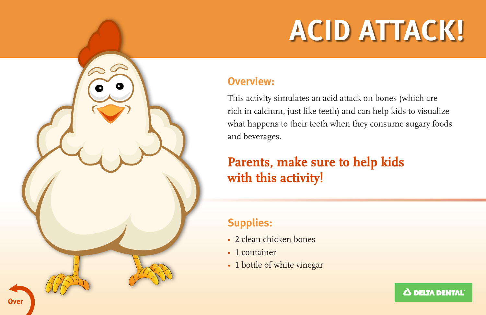# **ACID ATTACK!**

#### **Overview:**

This activity simulates an acid attack on bones (which are rich in calcium, just like teeth) and can help kids to visualize what happens to their teeth when they consume sugary foods and beverages.

## **Parents, make sure to help kids with this activity!**

#### **Supplies:**

- 2 clean chicken bones
- 1 container
- 1 bottle of white vinegar

Δ DELTA DENTAL